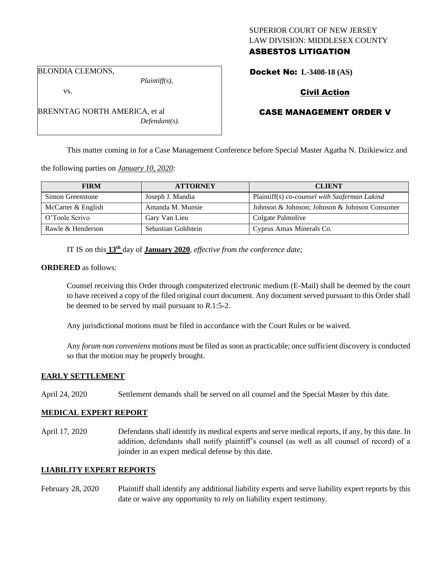## SUPERIOR COURT OF NEW JERSEY LAW DIVISION: MIDDLESEX COUNTY ASBESTOS LITIGATION

BLONDIA CLEMONS,

vs.

*Plaintiff(s),*

*Defendant(s).*

Civil Action

Docket No: **L-3408-18 (AS)** 

# CASE MANAGEMENT ORDER V

This matter coming in for a Case Management Conference before Special Master Agatha N. Dzikiewicz and

the following parties on *January 10, 2020:*

BRENNTAG NORTH AMERICA, et al

| <b>FIRM</b>        | <b>ATTORNEY</b>     | <b>CLIENT</b>                                 |
|--------------------|---------------------|-----------------------------------------------|
| Simon Greenstone   | Joseph J. Mandia    | Plaintiff(s) co-counsel with Szaferman Lakind |
| McCarter & English | Amanda M. Munsie    | Johnson & Johnson; Johnson & Johnson Consumer |
| O'Toole Scrivo     | Gary Van Lieu       | Colgate Palmolive                             |
| Rawle & Henderson  | Sebastian Goldstein | Cyprus Amax Minerals Co.                      |

IT IS on this **13th** day of **January 2020**, *effective from the conference date;*

#### **ORDERED** as follows:

Counsel receiving this Order through computerized electronic medium (E-Mail) shall be deemed by the court to have received a copy of the filed original court document. Any document served pursuant to this Order shall be deemed to be served by mail pursuant to *R*.1:5-2.

Any jurisdictional motions must be filed in accordance with the Court Rules or be waived.

Any *forum non conveniens* motions must be filed as soon as practicable; once sufficient discovery is conducted so that the motion may be properly brought.

### **EARLY SETTLEMENT**

April 24, 2020 Settlement demands shall be served on all counsel and the Special Master by this date.

#### **MEDICAL EXPERT REPORT**

April 17, 2020 Defendants shall identify its medical experts and serve medical reports, if any, by this date. In addition, defendants shall notify plaintiff's counsel (as well as all counsel of record) of a joinder in an expert medical defense by this date.

### **LIABILITY EXPERT REPORTS**

February 28, 2020 Plaintiff shall identify any additional liability experts and serve liability expert reports by this date or waive any opportunity to rely on liability expert testimony.